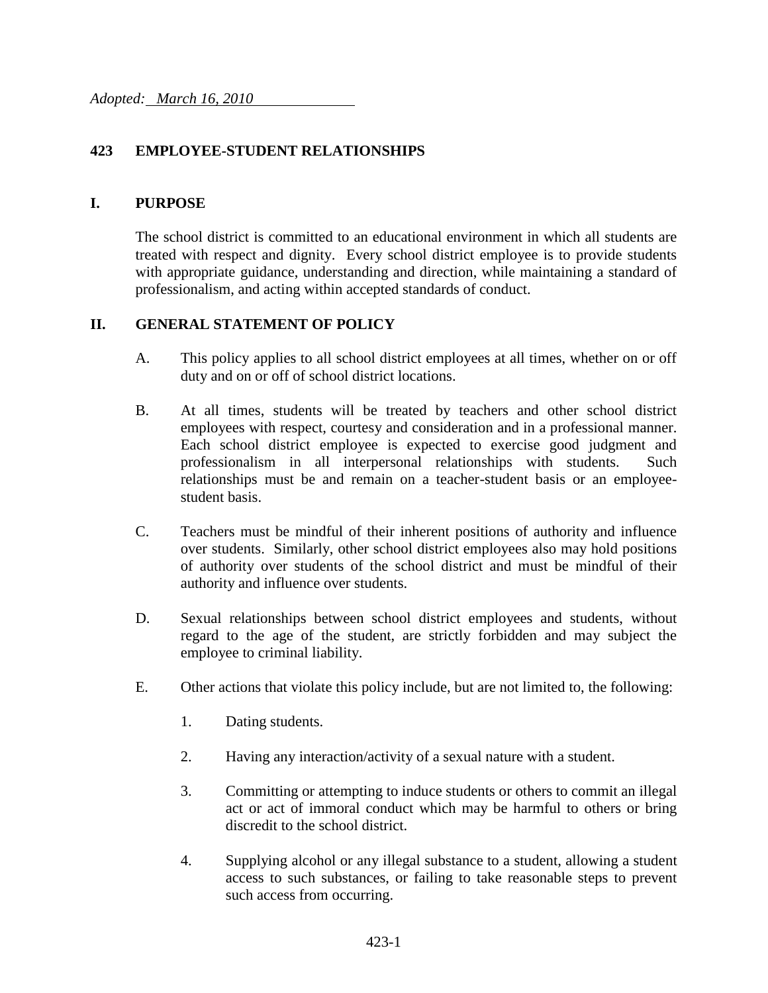### **423 EMPLOYEE-STUDENT RELATIONSHIPS**

#### **I. PURPOSE**

The school district is committed to an educational environment in which all students are treated with respect and dignity. Every school district employee is to provide students with appropriate guidance, understanding and direction, while maintaining a standard of professionalism, and acting within accepted standards of conduct.

#### **II. GENERAL STATEMENT OF POLICY**

- A. This policy applies to all school district employees at all times, whether on or off duty and on or off of school district locations.
- B. At all times, students will be treated by teachers and other school district employees with respect, courtesy and consideration and in a professional manner. Each school district employee is expected to exercise good judgment and professionalism in all interpersonal relationships with students. Such relationships must be and remain on a teacher-student basis or an employeestudent basis.
- C. Teachers must be mindful of their inherent positions of authority and influence over students. Similarly, other school district employees also may hold positions of authority over students of the school district and must be mindful of their authority and influence over students.
- D. Sexual relationships between school district employees and students, without regard to the age of the student, are strictly forbidden and may subject the employee to criminal liability.
- E. Other actions that violate this policy include, but are not limited to, the following:
	- 1. Dating students.
	- 2. Having any interaction/activity of a sexual nature with a student.
	- 3. Committing or attempting to induce students or others to commit an illegal act or act of immoral conduct which may be harmful to others or bring discredit to the school district.
	- 4. Supplying alcohol or any illegal substance to a student, allowing a student access to such substances, or failing to take reasonable steps to prevent such access from occurring.